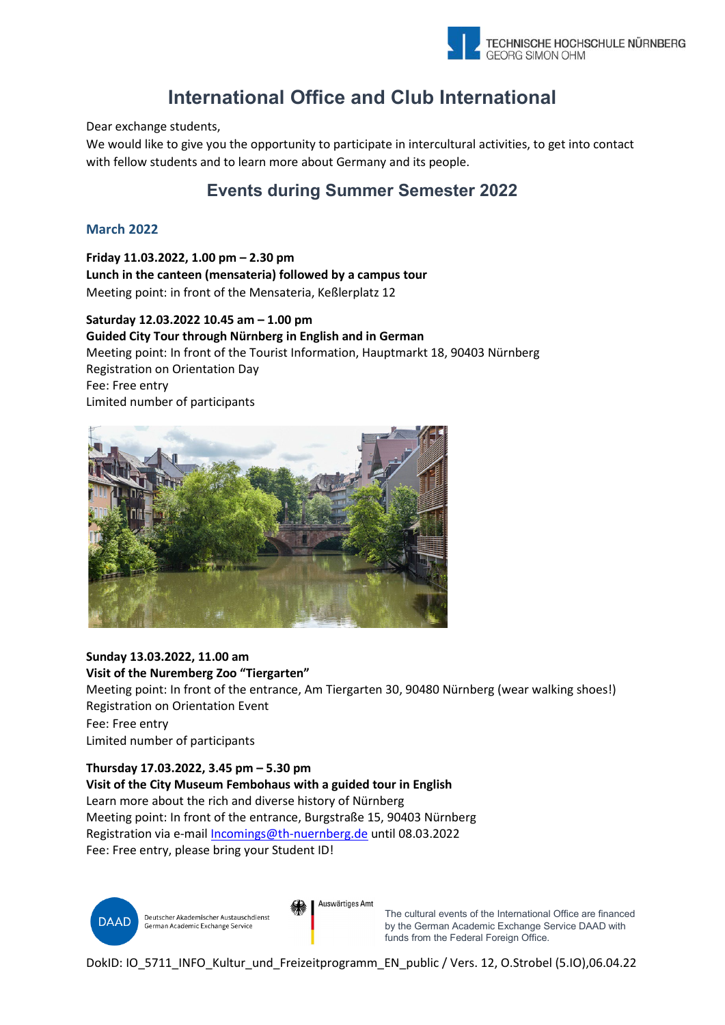

# **International Office and Club International**

Dear exchange students,

We would like to give you the opportunity to participate in intercultural activities, to get into contact with fellow students and to learn more about Germany and its people.

## **Events during Summer Semester 2022**

## **March 2022**

**Friday 11.03.2022, 1.00 pm – 2.30 pm Lunch in the canteen (mensateria) followed by a campus tour** Meeting point: in front of the Mensateria, Keßlerplatz 12

**Saturday 12.03.2022 10.45 am – 1.00 pm Guided City Tour through Nürnberg in English and in German**  Meeting point: In front of the Tourist Information, Hauptmarkt 18, 90403 Nürnberg Registration on Orientation Day Fee: Free entry Limited number of participants



## **Sunday 13.03.2022, 11.00 am**

**Visit of the Nuremberg Zoo "Tiergarten"**

Meeting point: In front of the entrance, Am Tiergarten 30, 90480 Nürnberg (wear walking shoes!) Registration on Orientation Event

Fee: Free entry

Limited number of participants

**Thursday 17.03.2022, 3.45 pm – 5.30 pm**

**Visit of the City Museum Fembohaus with a guided tour in English** Learn more about the rich and diverse history of Nürnberg Meeting point: In front of the entrance, Burgstraße 15, 90403 Nürnberg Registration via e-mail [Incomings@th-nuernberg.de](mailto:Incomings@th-nuernberg.de) until 08.03.2022 Fee: Free entry, please bring your Student ID!



Auswärtiges Amt

The cultural events of the International Office are financed by the German Academic Exchange Service DAAD with funds from the Federal Foreign Office.

DokID: IO 5711 INFO Kultur und Freizeitprogramm\_EN\_public / Vers. 12, O.Strobel (5.IO),06.04.22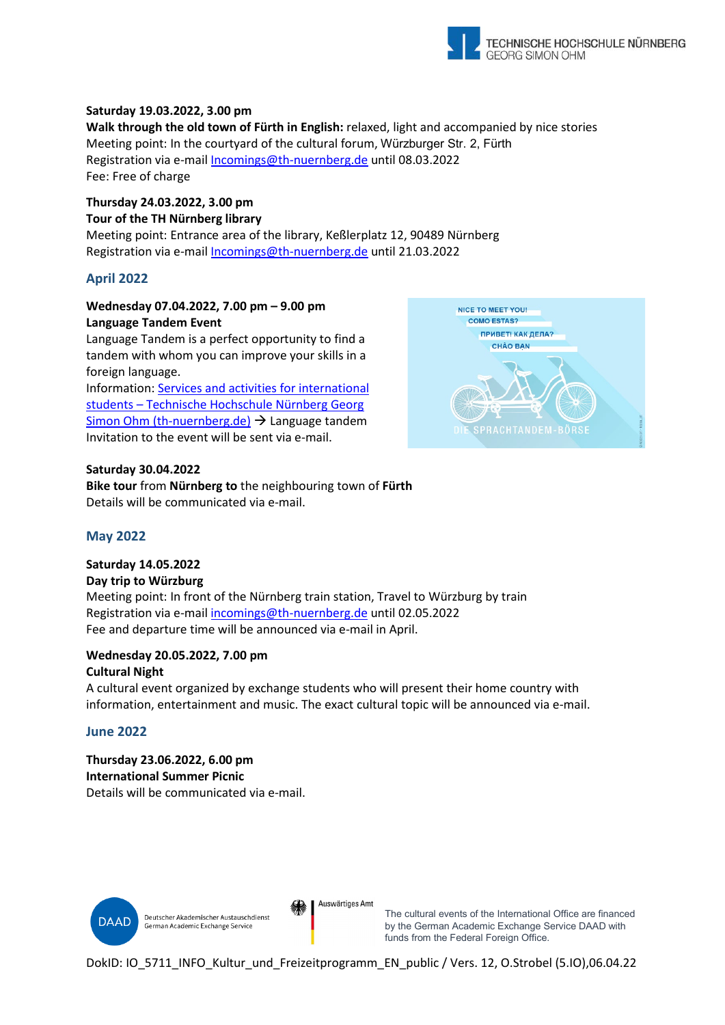

## **Saturday 19.03.2022, 3.00 pm**

**Walk through the old town of Fürth in English:** relaxed, light and accompanied by nice stories Meeting point: In the courtyard of the cultural forum, Würzburger Str. 2, Fürth Registration via e-mail [Incomings@th-nuernberg.de](mailto:Incomings@th-nuernberg.de) until 08.03.2022 Fee: Free of charge

## **Thursday 24.03.2022, 3.00 pm Tour of the TH Nürnberg library**

Meeting point: Entrance area of the library, Keßlerplatz 12, 90489 Nürnberg Registration via e-mail [Incomings@th-nuernberg.de](mailto:Incomings@th-nuernberg.de) until 21.03.2022

## **April 2022**

## **Wednesday 07.04.2022, 7.00 pm – 9.00 pm Language Tandem Event**

Language Tandem is a perfect opportunity to find a tandem with whom you can improve your skills in a foreign language.

Information[: Services and activities for international](https://www.th-nuernberg.de/en/international/international-students-and-prospective-students/services-and-activities-for-international-students/)  [students – Technische Hochschule Nürnberg Georg](https://www.th-nuernberg.de/en/international/international-students-and-prospective-students/services-and-activities-for-international-students/)  [Simon Ohm \(th-nuernberg.de\)](https://www.th-nuernberg.de/en/international/international-students-and-prospective-students/services-and-activities-for-international-students/)  $\rightarrow$  Language tandem Invitation to the event will be sent via e-mail.

#### **Saturday 30.04.2022**

**Bike tour** from **Nürnberg to** the neighbouring town of **Fürth** Details will be communicated via e-mail.



## **May 2022**

## **Saturday 14.05.2022**

#### **Day trip to Würzburg**

Meeting point: In front of the Nürnberg train station, Travel to Würzburg by train Registration via e-mail [incomings@th-nuernberg.de](mailto:incomings@th-nuernberg.de) until 02.05.2022 Fee and departure time will be announced via e-mail in April.

#### **Wednesday 20.05.2022, 7.00 pm Cultural Night**

A cultural event organized by exchange students who will present their home country with information, entertainment and music. The exact cultural topic will be announced via e-mail.

## **June 2022**

**Thursday 23.06.2022, 6.00 pm International Summer Picnic** Details will be communicated via e-mail.



Auswärtiges Amt

The cultural events of the International Office are financed by the German Academic Exchange Service DAAD with funds from the Federal Foreign Office.

DokID: IO 5711 INFO Kultur und Freizeitprogramm\_EN\_public / Vers. 12, O.Strobel (5.IO),06.04.22